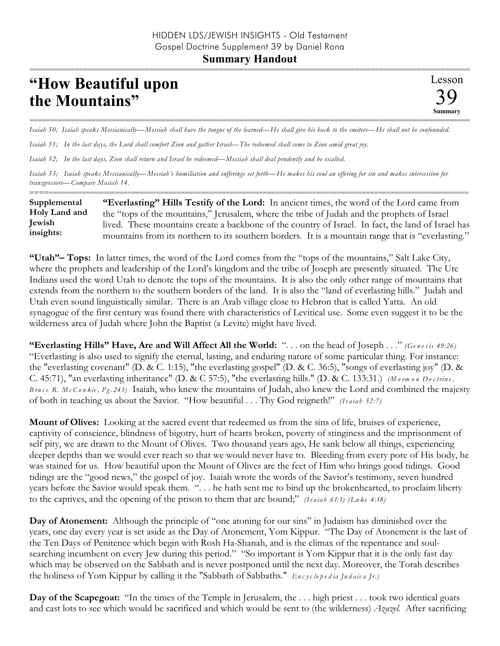## **Summary Handout**

## **"How Beautiful upon the Mountains"**

=========================================================================================================== *Isaiah 50; Isaiah speaks Messianically—Messiah shall have the tongue of the learned—He shall give his back to the smiters—He shall not be confounded.* 

*Isaiah 51; In the last days, the Lord shall comfort Zion and gather Israel—The redeemed shall come to Zion amid great joy.* 

*Isaiah 52; In the last days, Zion shall return and Israel be redeemed—Messiah shall deal prudently and be exalted.* 

*Isaiah 53; Isaiah speaks Messianically—Messiah's humiliation and sufferings set forth—He makes his soul an offering for sin and makes intercession for transgressors—Compare Mosiah 14.*

========================================================================================================== **"Everlasting" Hills Testify of the Lord:** In ancient times, the word of the Lord came from the "tops of the mountains," Jerusalem, where the tribe of Judah and the prophets of Israel lived. These mountains create a backbone of the country of Israel. In fact, the land of Israel has mountains from its northern to its southern borders. It is a mountain range that is "everlasting." **Supplemental Holy Land and Jewish insights:**

**"Utah"– Tops:** In latter times, the word of the Lord comes from the "tops of the mountains," Salt Lake City, where the prophets and leadership of the Lord's kingdom and the tribe of Joseph are presently situated. The Ute Indians used the word Utah to denote the tops of the mountains. It is also the only other range of mountains that extends from the northern to the southern borders of the land. It is also the "land of everlasting hills." Judah and Utah even sound linguistically similar. There is an Arab village close to Hebron that is called Yatta. An old synagogue of the first century was found there with characteristics of Levitical use. Some even suggest it to be the wilderness area of Judah where John the Baptist (a Levite) might have lived.

**"Everlasting Hills" Have, Are and Will Affect All the World:** ". . . on the head of Joseph . . ." *(Ge n e s is 49:26)* "Everlasting is also used to signify the eternal, lasting, and enduring nature of some particular thing. For instance: the "everlasting covenant" (D. & C. 1:15), "the everlasting gospel" (D. & C. 36:5), "songs of everlasting joy" (D. & C. 45:71), "an everlasting inheritance" (D. & C 57:5), "the everlasting hills." (D. & C. 133:31.) *(M o rm o n Do c trin e , B ru c e R. M c Co n kie , Pg .243)* Isaiah, who knew the mountains of Judah, also knew the Lord and combined the majesty of both in teaching us about the Savior. "How beautiful . . . Thy God reigneth!" *(Is a ia h 52:7)*

**Mount of Olives:** Looking at the sacred event that redeemed us from the sins of life, bruises of experience, captivity of conscience, blindness of bigotry, hurt of hearts broken, poverty of stinginess and the imprisonment of self pity, we are drawn to the Mount of Olives. Two thousand years ago, He sank below all things, experiencing deeper depths than we would ever reach so that we would never have to. Bleeding from every pore of His body, he was stained for us. How beautiful upon the Mount of Olives are the feet of Him who brings good tidings. Good tidings are the "good news," the gospel of joy. Isaiah wrote the words of the Savior's testimony, seven hundred years before the Savior would speak them. ". . . he hath sent me to bind up the brokenhearted, to proclaim liberty to the captives, and the opening of the prison to them that are bound;" *(Isaiab 61:1) (Luke 4:18)* 

**Day of Atonement:** Although the principle of "one atoning for our sins" in Judaism has diminished over the years, one day every year is set aside as the Day of Atonement, Yom Kippur. "The Day of Atonement is the last of the Ten Days of Penitence which begin with Rosh Ha-Shanah, and is the climax of the repentance and soulsearching incumbent on every Jew during this period." "So important is Yom Kippur that it is the only fast day which may be observed on the Sabbath and is never postponed until the next day. Moreover, the Torah describes the holiness of Yom Kippur by calling it the "Sabbath of Sabbaths." *En c y c lo p e d ia Ju d a ic a Jr.)*

**Day of the Scapegoat:** "In the times of the Temple in Jerusalem, the . . . high priest . . . took two identical goats and cast lots to see which would be sacrificed and which would be sent to (the wilderness) *Azazel.* After sacrificing